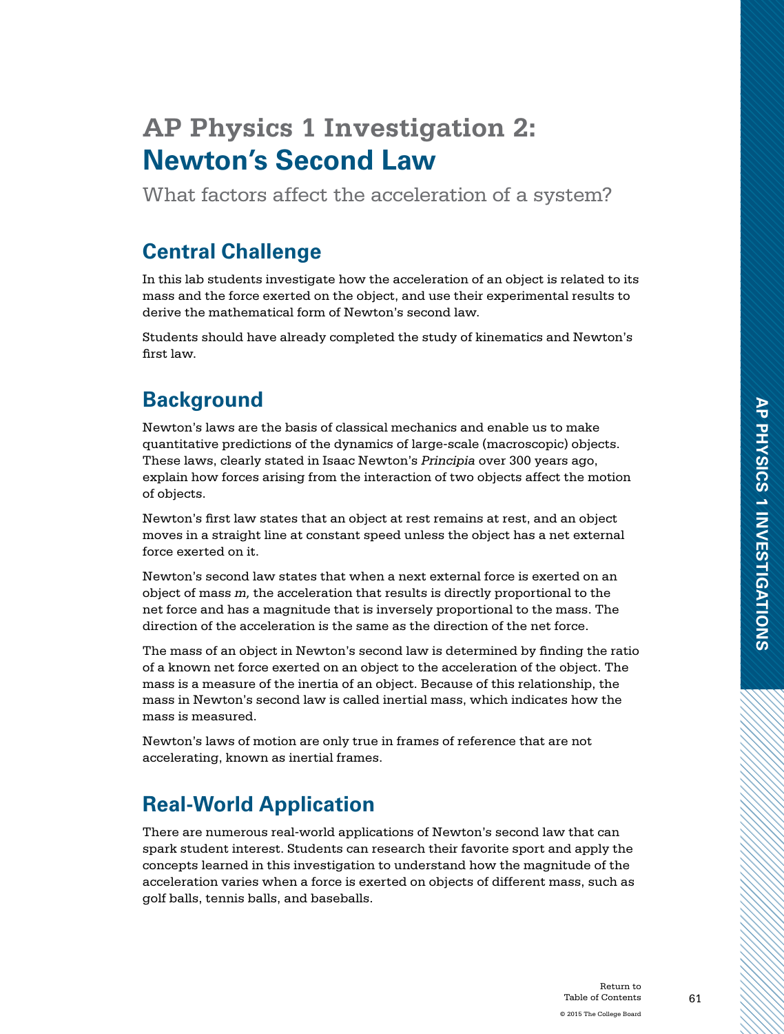# **AP Physics 1 Investigation 2: Newton's Second Law**

What factors affect the acceleration of a system?

# **Central Challenge**

In this lab students investigate how the acceleration of an object is related to its mass and the force exerted on the object, and use their experimental results to derive the mathematical form of Newton's second law.

Students should have already completed the study of kinematics and Newton's first law.

# **Background**

Newton's laws are the basis of classical mechanics and enable us to make quantitative predictions of the dynamics of large-scale (macroscopic) objects. These laws, clearly stated in Isaac Newton's *Principia* over 300 years ago, explain how forces arising from the interaction of two objects affect the motion of objects.

Newton's first law states that an object at rest remains at rest, and an object moves in a straight line at constant speed unless the object has a net external force exerted on it.

Newton's second law states that when a next external force is exerted on an object of mass *m,* the acceleration that results is directly proportional to the net force and has a magnitude that is inversely proportional to the mass. The direction of the acceleration is the same as the direction of the net force.

The mass of an object in Newton's second law is determined by finding the ratio of a known net force exerted on an object to the acceleration of the object. The mass is a measure of the inertia of an object. Because of this relationship, the mass in Newton's second law is called inertial mass, which indicates how the mass is measured.

Newton's laws of motion are only true in frames of reference that are not accelerating, known as inertial frames.

# **Real-World Application**

There are numerous real-world applications of Newton's second law that can spark student interest. Students can research their favorite sport and apply the concepts learned in this investigation to understand how the magnitude of the acceleration varies when a force is exerted on objects of different mass, such as golf balls, tennis balls, and baseballs.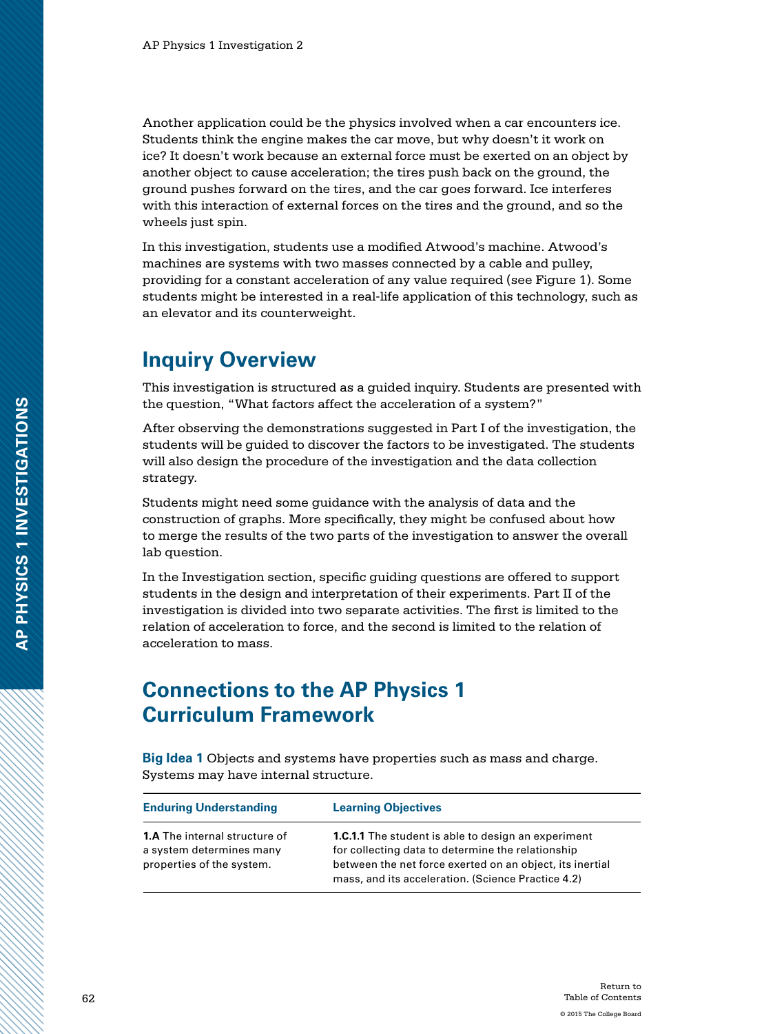Another application could be the physics involved when a car encounters ice. Students think the engine makes the car move, but why doesn't it work on ice? It doesn't work because an external force must be exerted on an object by another object to cause acceleration; the tires push back on the ground, the ground pushes forward on the tires, and the car goes forward. Ice interferes with this interaction of external forces on the tires and the ground, and so the wheels just spin.

In this investigation, students use a modified Atwood's machine. Atwood's machines are systems with two masses connected by a cable and pulley, providing for a constant acceleration of any value required (see Figure 1). Some students might be interested in a real-life application of this technology, such as an elevator and its counterweight.

### **Inquiry Overview**

This investigation is structured as a guided inquiry. Students are presented with the question, "What factors affect the acceleration of a system?"

After observing the demonstrations suggested in Part I of the investigation, the students will be guided to discover the factors to be investigated. The students will also design the procedure of the investigation and the data collection strategy.

Students might need some guidance with the analysis of data and the construction of graphs. More specifically, they might be confused about how to merge the results of the two parts of the investigation to answer the overall lab question.

In the Investigation section, specific guiding questions are offered to support students in the design and interpretation of their experiments. Part II of the investigation is divided into two separate activities. The first is limited to the relation of acceleration to force, and the second is limited to the relation of acceleration to mass.

### **Connections to the AP Physics 1 Curriculum Framework**

**Big Idea 1** Objects and systems have properties such as mass and charge. Systems may have internal structure.

| <b>Enduring Understanding</b>                                                                 | <b>Learning Objectives</b>                                                                                                                                                                                                        |
|-----------------------------------------------------------------------------------------------|-----------------------------------------------------------------------------------------------------------------------------------------------------------------------------------------------------------------------------------|
| <b>1.A</b> The internal structure of<br>a system determines many<br>properties of the system. | <b>1.C.1.1</b> The student is able to design an experiment<br>for collecting data to determine the relationship<br>between the net force exerted on an object, its inertial<br>mass, and its acceleration. (Science Practice 4.2) |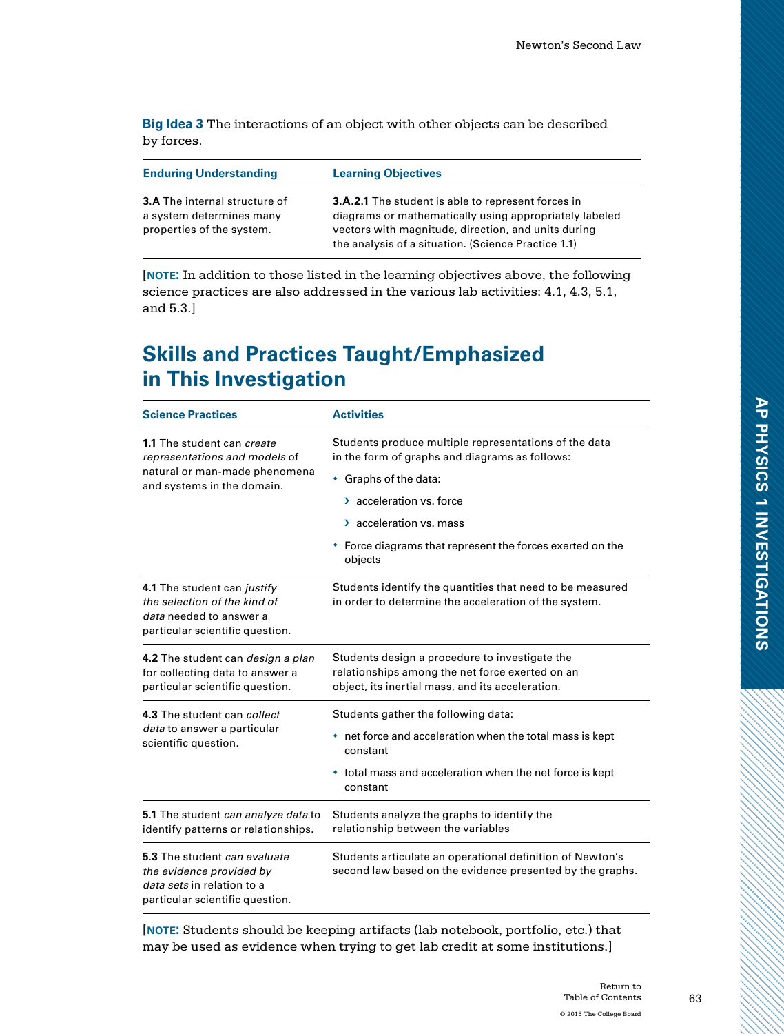**Big Idea 3** The interactions of an object with other objects can be described by forces.

| <b>Enduring Understanding</b>                                                                 | <b>Learning Objectives</b>                                                                                                                                                                                                        |
|-----------------------------------------------------------------------------------------------|-----------------------------------------------------------------------------------------------------------------------------------------------------------------------------------------------------------------------------------|
| <b>3.A</b> The internal structure of<br>a system determines many<br>properties of the system. | <b>3.A.2.1</b> The student is able to represent forces in<br>diagrams or mathematically using appropriately labeled<br>vectors with magnitude, direction, and units during<br>the analysis of a situation. (Science Practice 1.1) |

[**note:** In addition to those listed in the learning objectives above, the following science practices are also addressed in the various lab activities: 4.1, 4.3, 5.1, and 5.3.]

# **Skills and Practices Taught/Emphasized in This Investigation**

| <b>Science Practices</b>                                                                                                  | <b>Activities</b>                                                                                                      |  |
|---------------------------------------------------------------------------------------------------------------------------|------------------------------------------------------------------------------------------------------------------------|--|
| <b>1.1</b> The student can <i>create</i><br>representations and models of                                                 | Students produce multiple representations of the data<br>in the form of graphs and diagrams as follows:                |  |
| natural or man-made phenomena<br>and systems in the domain.                                                               | • Graphs of the data:                                                                                                  |  |
|                                                                                                                           | > acceleration vs. force                                                                                               |  |
|                                                                                                                           | > acceleration vs. mass                                                                                                |  |
|                                                                                                                           | • Force diagrams that represent the forces exerted on the<br>objects                                                   |  |
| 4.1 The student can justify<br>the selection of the kind of<br>data needed to answer a<br>particular scientific question. | Students identify the quantities that need to be measured<br>in order to determine the acceleration of the system.     |  |
| 4.2 The student can <i>design a plan</i>                                                                                  | Students design a procedure to investigate the                                                                         |  |
| for collecting data to answer a<br>particular scientific question.                                                        | relationships among the net force exerted on an<br>object, its inertial mass, and its acceleration.                    |  |
|                                                                                                                           |                                                                                                                        |  |
| 4.3 The student can collect<br>data to answer a particular<br>scientific question.                                        | Students gather the following data:                                                                                    |  |
|                                                                                                                           | net force and acceleration when the total mass is kept<br>٠<br>constant                                                |  |
|                                                                                                                           | • total mass and acceleration when the net force is kept<br>constant                                                   |  |
| 5.1 The student can analyze data to                                                                                       | Students analyze the graphs to identify the                                                                            |  |
| identify patterns or relationships.                                                                                       | relationship between the variables                                                                                     |  |
| 5.3 The student can evaluate<br>the evidence provided by<br>data sets in relation to a<br>particular scientific question. | Students articulate an operational definition of Newton's<br>second law based on the evidence presented by the graphs. |  |

[**note:** Students should be keeping artifacts (lab notebook, portfolio, etc.) that may be used as evidence when trying to get lab credit at some institutions.]

63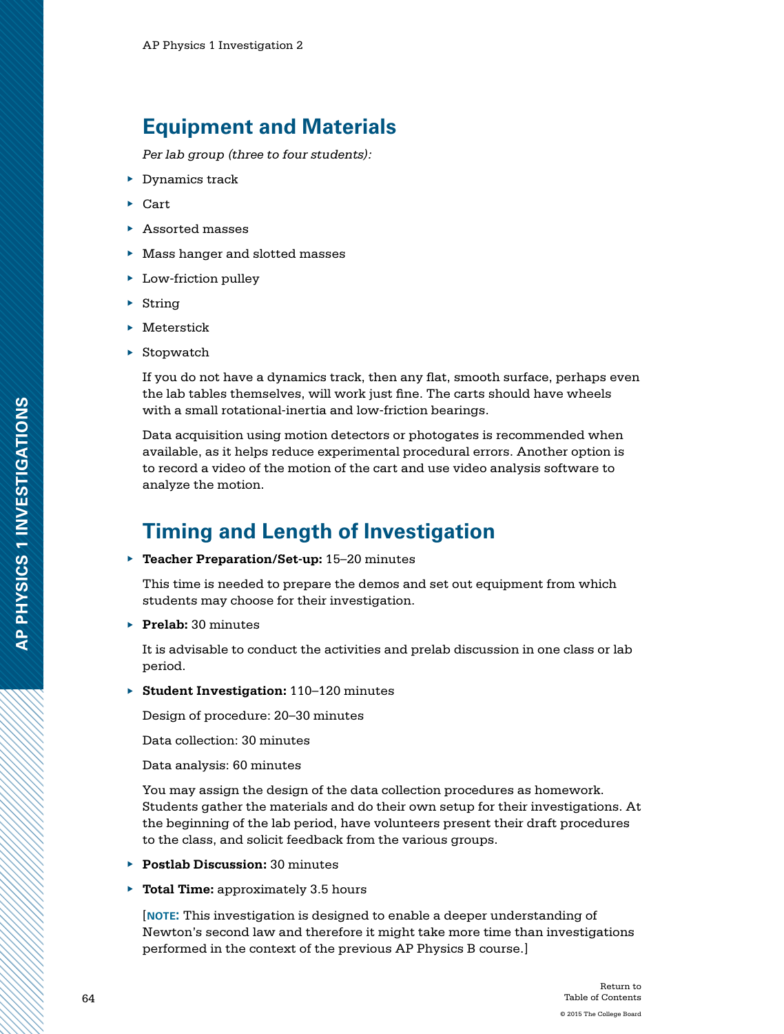## **Equipment and Materials**

*Per lab group (three to four students):*

- ▶ Dynamics track
- ▶ Cart
- ▶ Assorted masses
- ▶ Mass hanger and slotted masses
- ▶ Low-friction pulley
- $\triangleright$  String
- ▶ Meterstick
- $\triangleright$  Stopwatch

If you do not have a dynamics track, then any flat, smooth surface, perhaps even the lab tables themselves, will work just fine. The carts should have wheels with a small rotational-inertia and low-friction bearings.

Data acquisition using motion detectors or photogates is recommended when available, as it helps reduce experimental procedural errors. Another option is to record a video of the motion of the cart and use video analysis software to analyze the motion.

# **Timing and Length of Investigation**

▶ **Teacher Preparation/Set-up:** 15–20 minutes

This time is needed to prepare the demos and set out equipment from which students may choose for their investigation.

▶ **Prelab:** 30 minutes

It is advisable to conduct the activities and prelab discussion in one class or lab period.

▶ **Student Investigation:** 110–120 minutes

Design of procedure: 20–30 minutes

Data collection: 30 minutes

Data analysis: 60 minutes

You may assign the design of the data collection procedures as homework. Students gather the materials and do their own setup for their investigations. At the beginning of the lab period, have volunteers present their draft procedures to the class, and solicit feedback from the various groups.

- ▶ **Postlab Discussion:** 30 minutes
- ▶ **Total Time:** approximately 3.5 hours

[**note:** This investigation is designed to enable a deeper understanding of Newton's second law and therefore it might take more time than investigations performed in the context of the previous AP Physics B course.]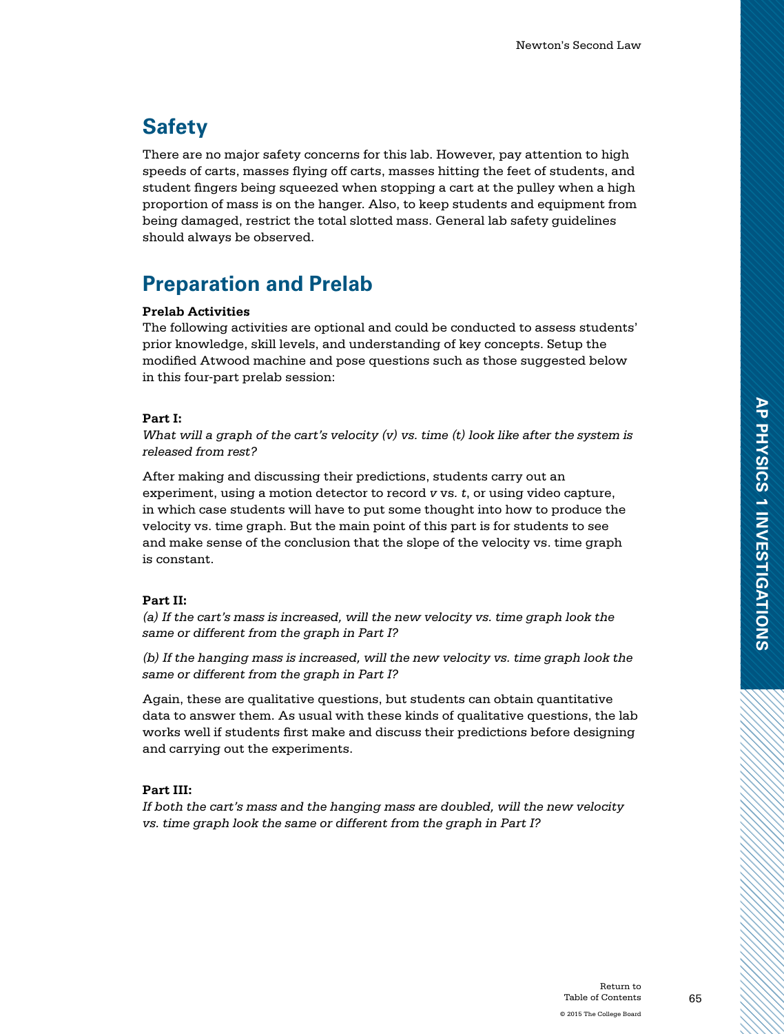# **Safety**

There are no major safety concerns for this lab. However, pay attention to high speeds of carts, masses flying off carts, masses hitting the feet of students, and student fingers being squeezed when stopping a cart at the pulley when a high proportion of mass is on the hanger. Also, to keep students and equipment from being damaged, restrict the total slotted mass. General lab safety guidelines should always be observed.

# **Preparation and Prelab**

#### **Prelab Activities**

The following activities are optional and could be conducted to assess students' prior knowledge, skill levels, and understanding of key concepts. Setup the modified Atwood machine and pose questions such as those suggested below in this four-part prelab session:

#### **Part I:**

*What will a graph of the cart's velocity (v) vs. time (t) look like after the system is released from rest?*

After making and discussing their predictions, students carry out an experiment, using a motion detector to record *v* vs*. t*, or using video capture, in which case students will have to put some thought into how to produce the velocity vs. time graph. But the main point of this part is for students to see and make sense of the conclusion that the slope of the velocity vs. time graph is constant.

#### **Part II:**

*(a) If the cart's mass is increased, will the new velocity vs. time graph look the same or different from the graph in Part I?* 

*(b) If the hanging mass is increased, will the new velocity vs. time graph look the same or different from the graph in Part I?*

Again, these are qualitative questions, but students can obtain quantitative data to answer them. As usual with these kinds of qualitative questions, the lab works well if students first make and discuss their predictions before designing and carrying out the experiments.

#### **Part III:**

*If both the cart's mass and the hanging mass are doubled, will the new velocity vs. time graph look the same or different from the graph in Part I?*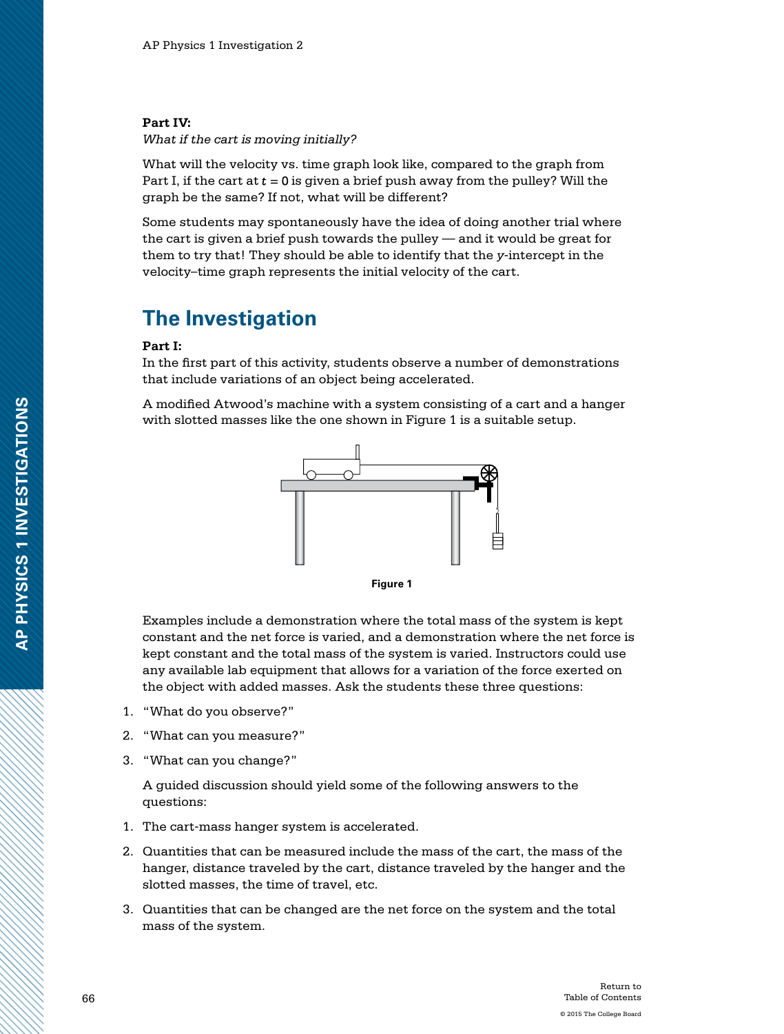#### **Part IV:**

*What if the cart is moving initially?*

What will the velocity vs. time graph look like, compared to the graph from Part I, if the cart at  $t = 0$  is given a brief push away from the pulley? Will the graph be the same? If not, what will be different?

Some students may spontaneously have the idea of doing another trial where the cart is given a brief push towards the pulley — and it would be great for them to try that! They should be able to identify that the *y*-intercept in the velocity–time graph represents the initial velocity of the cart.

### **The Investigation**

#### **Part I:**

In the first part of this activity, students observe a number of demonstrations that include variations of an object being accelerated.

A modified Atwood's machine with a system consisting of a cart and a hanger with slotted masses like the one shown in Figure 1 is a suitable setup.



**Figure 1**

Examples include a demonstration where the total mass of the system is kept constant and the net force is varied, and a demonstration where the net force is kept constant and the total mass of the system is varied. Instructors could use any available lab equipment that allows for a variation of the force exerted on the object with added masses. Ask the students these three questions:

- 1. "What do you observe?"
- 2. "What can you measure?"
- 3. "What can you change?"

A guided discussion should yield some of the following answers to the questions:

- 1. The cart-mass hanger system is accelerated.
- 2. Quantities that can be measured include the mass of the cart, the mass of the hanger, distance traveled by the cart, distance traveled by the hanger and the slotted masses, the time of travel, etc.
- 3. Quantities that can be changed are the net force on the system and the total mass of the system.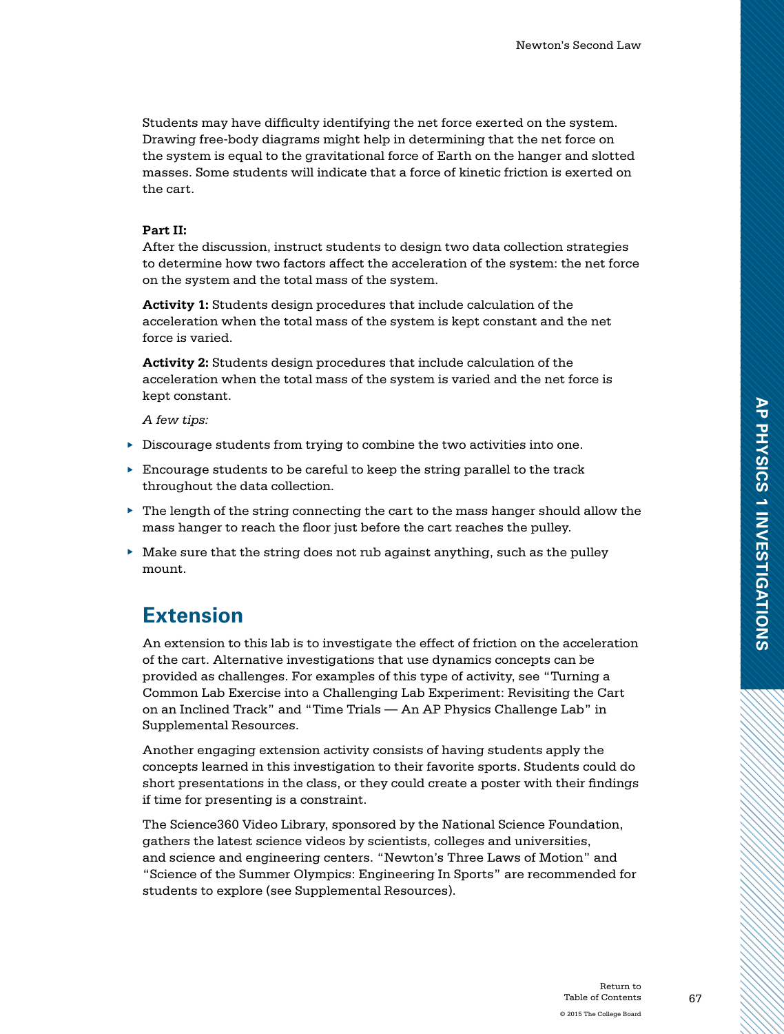Students may have difficulty identifying the net force exerted on the system. Drawing free-body diagrams might help in determining that the net force on the system is equal to the gravitational force of Earth on the hanger and slotted masses. Some students will indicate that a force of kinetic friction is exerted on the cart.

#### **Part II:**

After the discussion, instruct students to design two data collection strategies to determine how two factors affect the acceleration of the system: the net force on the system and the total mass of the system.

**Activity 1:** Students design procedures that include calculation of the acceleration when the total mass of the system is kept constant and the net force is varied.

**Activity 2:** Students design procedures that include calculation of the acceleration when the total mass of the system is varied and the net force is kept constant.

*A few tips:*

- ▶ Discourage students from trying to combine the two activities into one.
- ▶ Encourage students to be careful to keep the string parallel to the track throughout the data collection.
- $\blacktriangleright$  The length of the string connecting the cart to the mass hanger should allow the mass hanger to reach the floor just before the cart reaches the pulley.
- $\blacktriangleright$  Make sure that the string does not rub against anything, such as the pulley mount.

### **Extension**

An extension to this lab is to investigate the effect of friction on the acceleration of the cart. Alternative investigations that use dynamics concepts can be provided as challenges. For examples of this type of activity, see "Turning a Common Lab Exercise into a Challenging Lab Experiment: Revisiting the Cart on an Inclined Track" and "Time Trials — An AP Physics Challenge Lab" in Supplemental Resources.

Another engaging extension activity consists of having students apply the concepts learned in this investigation to their favorite sports. Students could do short presentations in the class, or they could create a poster with their findings if time for presenting is a constraint.

The Science360 Video Library, sponsored by the National Science Foundation, gathers the latest science videos by scientists, colleges and universities, and science and engineering centers. "Newton's Three Laws of Motion" and "Science of the Summer Olympics: Engineering In Sports" are recommended for students to explore (see Supplemental Resources).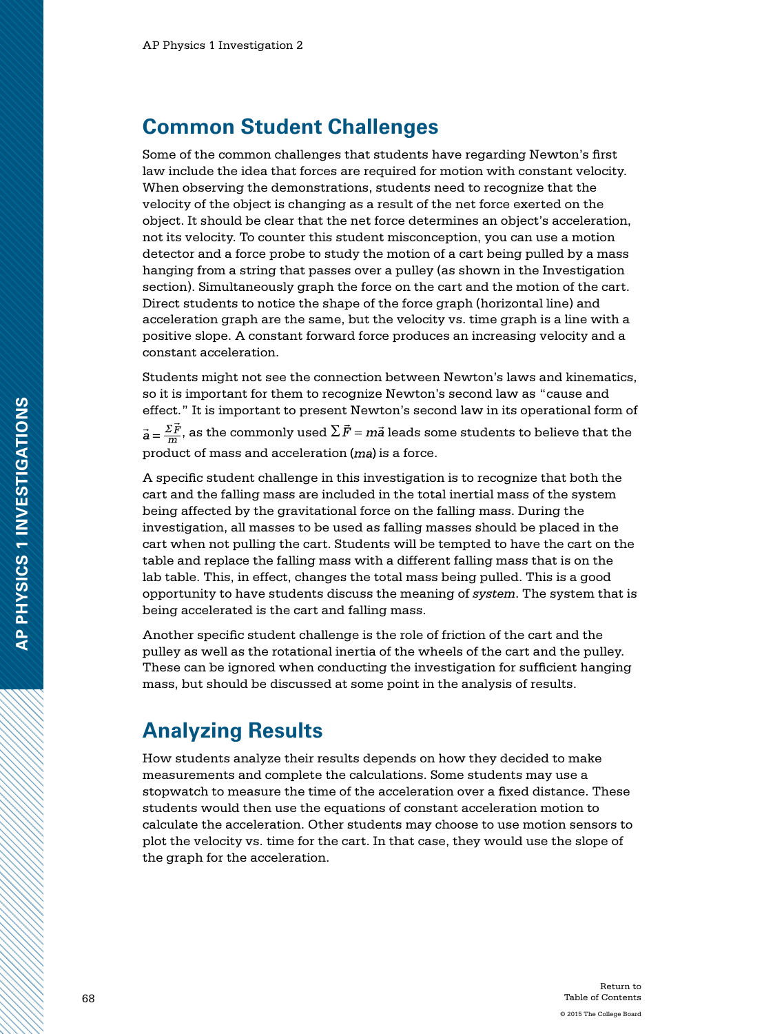### **Common Student Challenges**

Some of the common challenges that students have regarding Newton's first law include the idea that forces are required for motion with constant velocity. When observing the demonstrations, students need to recognize that the velocity of the object is changing as a result of the net force exerted on the object. It should be clear that the net force determines an object's acceleration, not its velocity. To counter this student misconception, you can use a motion detector and a force probe to study the motion of a cart being pulled by a mass hanging from a string that passes over a pulley (as shown in the Investigation section). Simultaneously graph the force on the cart and the motion of the cart. Direct students to notice the shape of the force graph (horizontal line) and acceleration graph are the same, but the velocity vs. time graph is a line with a positive slope. A constant forward force produces an increasing velocity and a constant acceleration.

Students might not see the connection between Newton's laws and kinematics, so it is important for them to recognize Newton's second law as "cause and effect." It is important to present Newton's second law in its operational form of  $\vec{a} = \frac{\sum \vec{F}}{m}$ , as the commonly used  $\sum \vec{F} = m\vec{a}$  leads some students to believe that the product of mass and acceleration  $(ma)$  is a force.

A specific student challenge in this investigation is to recognize that both the cart and the falling mass are included in the total inertial mass of the system being affected by the gravitational force on the falling mass. During the investigation, all masses to be used as falling masses should be placed in the cart when not pulling the cart. Students will be tempted to have the cart on the table and replace the falling mass with a different falling mass that is on the lab table. This, in effect, changes the total mass being pulled. This is a good opportunity to have students discuss the meaning of *system*. The system that is being accelerated is the cart and falling mass.

Another specific student challenge is the role of friction of the cart and the pulley as well as the rotational inertia of the wheels of the cart and the pulley. These can be ignored when conducting the investigation for sufficient hanging mass, but should be discussed at some point in the analysis of results.

# **Analyzing Results**

How students analyze their results depends on how they decided to make measurements and complete the calculations. Some students may use a stopwatch to measure the time of the acceleration over a fixed distance. These students would then use the equations of constant acceleration motion to calculate the acceleration. Other students may choose to use motion sensors to plot the velocity vs. time for the cart. In that case, they would use the slope of the graph for the acceleration.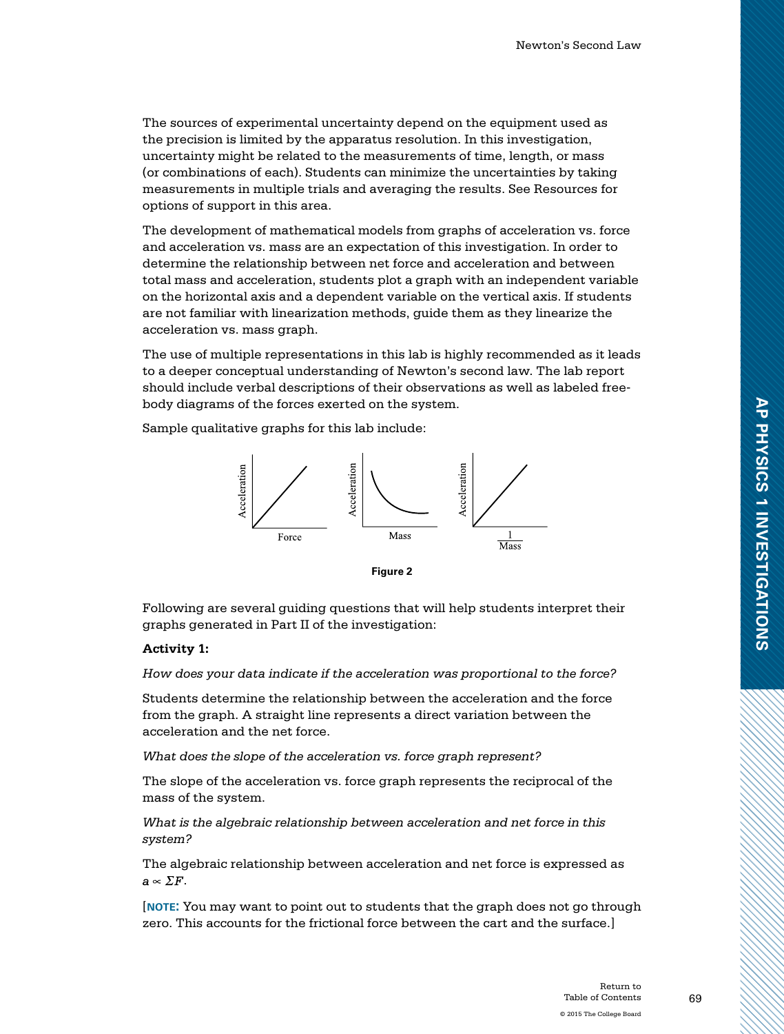The sources of experimental uncertainty depend on the equipment used as the precision is limited by the apparatus resolution. In this investigation, uncertainty might be related to the measurements of time, length, or mass (or combinations of each). Students can minimize the uncertainties by taking measurements in multiple trials and averaging the results. See Resources for options of support in this area.

The development of mathematical models from graphs of acceleration vs. force and acceleration vs. mass are an expectation of this investigation. In order to determine the relationship between net force and acceleration and between total mass and acceleration, students plot a graph with an independent variable on the horizontal axis and a dependent variable on the vertical axis. If students are not familiar with linearization methods, guide them as they linearize the acceleration vs. mass graph.

The use of multiple representations in this lab is highly recommended as it leads to a deeper conceptual understanding of Newton's second law. The lab report should include verbal descriptions of their observations as well as labeled freebody diagrams of the forces exerted on the system.

Sample qualitative graphs for this lab include:



**Figure 2**

Following are several guiding questions that will help students interpret their graphs generated in Part II of the investigation:

#### **Activity 1:**

*How does your data indicate if the acceleration was proportional to the force?*

Students determine the relationship between the acceleration and the force from the graph. A straight line represents a direct variation between the acceleration and the net force.

*What does the slope of the acceleration vs. force graph represent?*

The slope of the acceleration vs. force graph represents the reciprocal of the mass of the system.

*What is the algebraic relationship between acceleration and net force in this system?*

The algebraic relationship between acceleration and net force is expressed as  $a \propto \Sigma F$ .

[**note:** You may want to point out to students that the graph does not go through zero. This accounts for the frictional force between the cart and the surface.]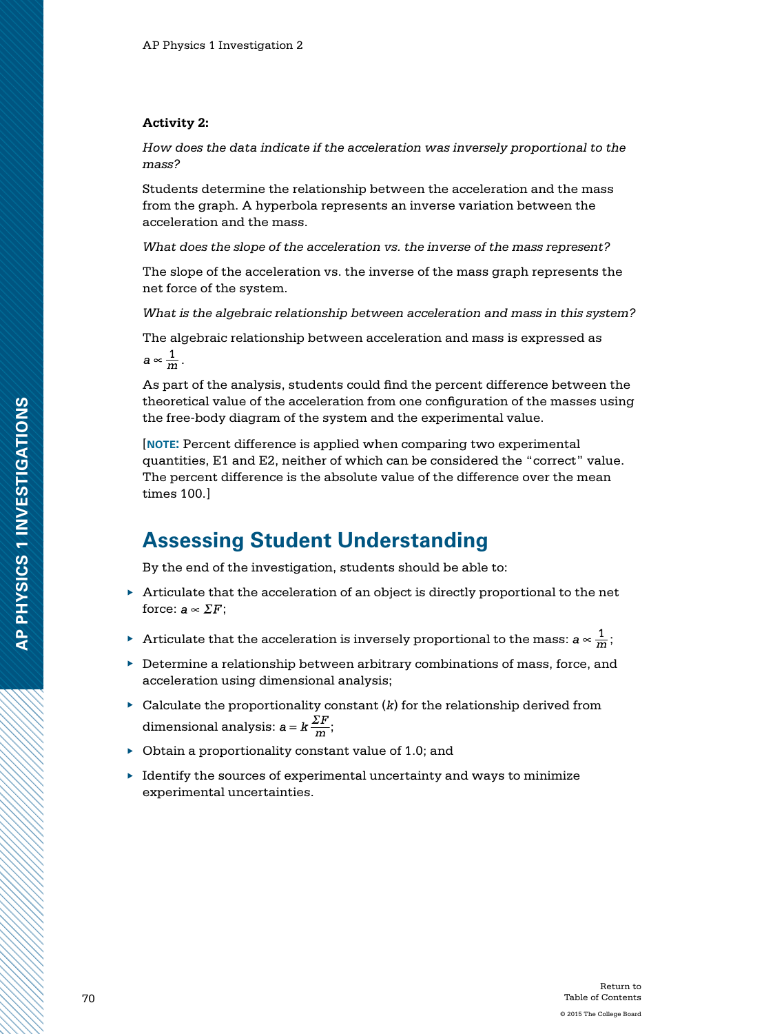#### **Activity 2:**

*How does the data indicate if the acceleration was inversely proportional to the mass?*

Students determine the relationship between the acceleration and the mass from the graph. A hyperbola represents an inverse variation between the acceleration and the mass.

*What does the slope of the acceleration vs. the inverse of the mass represent?*

The slope of the acceleration vs. the inverse of the mass graph represents the net force of the system.

*What is the algebraic relationship between acceleration and mass in this system?*

The algebraic relationship between acceleration and mass is expressed as

 $a \propto \frac{1}{m}$ .

As part of the analysis, students could find the percent difference between the theoretical value of the acceleration from one configuration of the masses using the free-body diagram of the system and the experimental value.

[**note:** Percent difference is applied when comparing two experimental quantities, E1 and E2, neither of which can be considered the "correct" value. The percent difference is the absolute value of the difference over the mean times 100.]

### **Assessing Student Understanding**

By the end of the investigation, students should be able to:

- ▶ Articulate that the acceleration of an object is directly proportional to the net force:  $a \propto \Sigma F$ ;
- ▶ Articulate that the acceleration is inversely proportional to the mass:  $a \propto \frac{1}{m}$ ;
- ▶ Determine a relationship between arbitrary combinations of mass, force, and acceleration using dimensional analysis;
- $\triangleright$  Calculate the proportionality constant  $(k)$  for the relationship derived from dimensional analysis:  $a = k \frac{\Sigma F}{m}$ ;
- $\triangleright$  Obtain a proportionality constant value of 1.0; and
- $\blacktriangleright$  Identify the sources of experimental uncertainty and ways to minimize experimental uncertainties.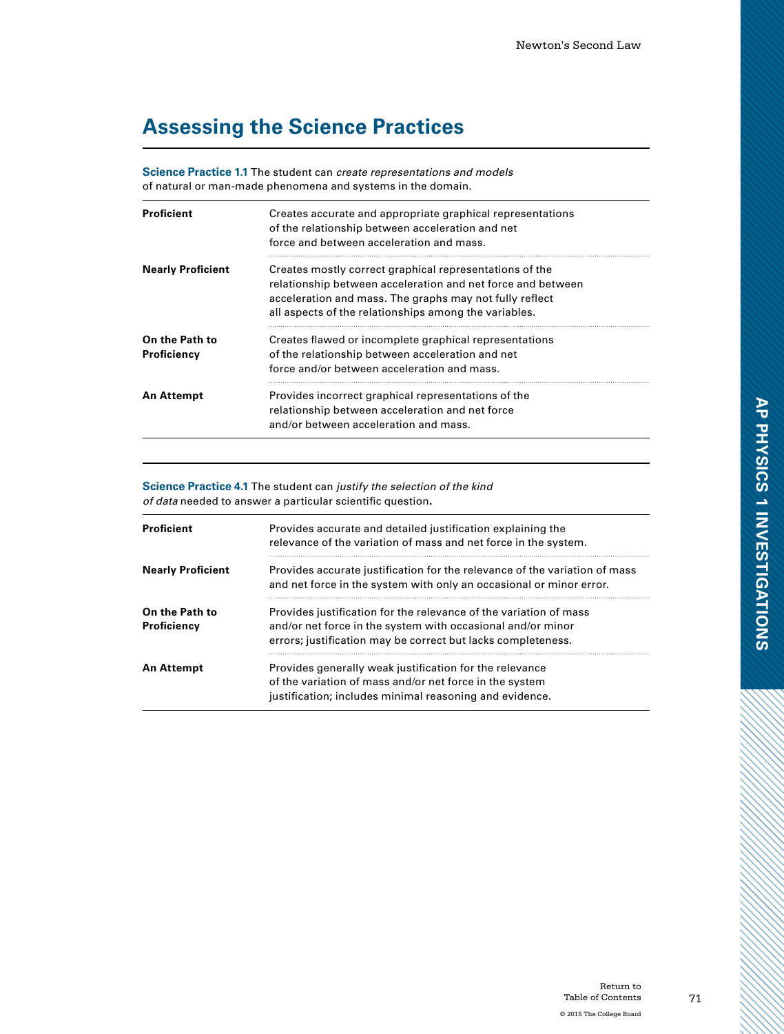# **Assessing the Science Practices**

**Science Practice 1.1** The student can *create representations and models* of natural or man-made phenomena and systems in the domain.

| Proficient                    | Creates accurate and appropriate graphical representations<br>of the relationship between acceleration and net<br>force and between acceleration and mass.                                                                                 |
|-------------------------------|--------------------------------------------------------------------------------------------------------------------------------------------------------------------------------------------------------------------------------------------|
| <b>Nearly Proficient</b>      | Creates mostly correct graphical representations of the<br>relationship between acceleration and net force and between<br>acceleration and mass. The graphs may not fully reflect<br>all aspects of the relationships among the variables. |
| On the Path to<br>Proficiency | Creates flawed or incomplete graphical representations<br>of the relationship between acceleration and net<br>force and/or between acceleration and mass.                                                                                  |
| An Attempt                    | Provides incorrect graphical representations of the<br>relationship between acceleration and net force<br>and/or between acceleration and mass.                                                                                            |

**Science Practice 4.1** The student can *justify the selection of the kind of data* needed to answer a particular scientific question**.**

| <b>Proficient</b>             | Provides accurate and detailed justification explaining the<br>relevance of the variation of mass and net force in the system.                                                                   |
|-------------------------------|--------------------------------------------------------------------------------------------------------------------------------------------------------------------------------------------------|
| <b>Nearly Proficient</b>      | Provides accurate justification for the relevance of the variation of mass<br>and net force in the system with only an occasional or minor error.                                                |
| On the Path to<br>Proficiency | Provides justification for the relevance of the variation of mass<br>and/or net force in the system with occasional and/or minor<br>errors; justification may be correct but lacks completeness. |
| An Attempt                    | Provides generally weak justification for the relevance<br>of the variation of mass and/or net force in the system<br>justification; includes minimal reasoning and evidence.                    |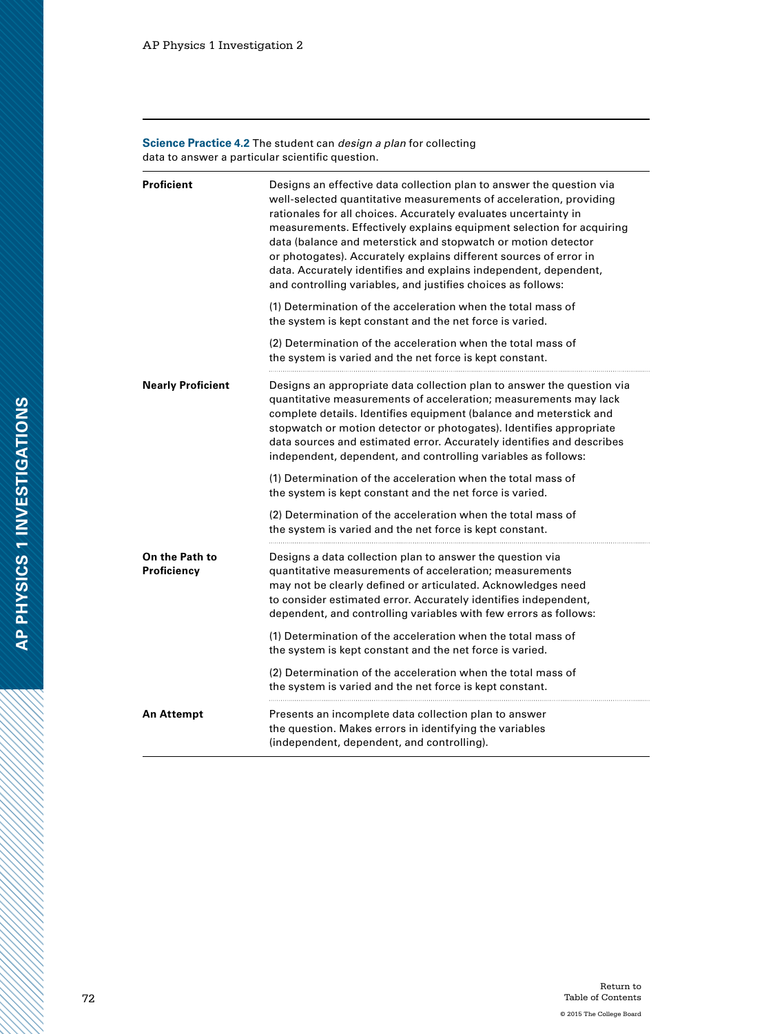**Science Practice 4.2** The student can *design a plan* for collecting data to answer a particular scientific question.

| <b>Proficient</b>             | Designs an effective data collection plan to answer the question via<br>well-selected quantitative measurements of acceleration, providing<br>rationales for all choices. Accurately evaluates uncertainty in<br>measurements. Effectively explains equipment selection for acquiring<br>data (balance and meterstick and stopwatch or motion detector<br>or photogates). Accurately explains different sources of error in<br>data. Accurately identifies and explains independent, dependent,<br>and controlling variables, and justifies choices as follows:                     |
|-------------------------------|-------------------------------------------------------------------------------------------------------------------------------------------------------------------------------------------------------------------------------------------------------------------------------------------------------------------------------------------------------------------------------------------------------------------------------------------------------------------------------------------------------------------------------------------------------------------------------------|
|                               | (1) Determination of the acceleration when the total mass of<br>the system is kept constant and the net force is varied.                                                                                                                                                                                                                                                                                                                                                                                                                                                            |
|                               | (2) Determination of the acceleration when the total mass of<br>the system is varied and the net force is kept constant.                                                                                                                                                                                                                                                                                                                                                                                                                                                            |
| <b>Nearly Proficient</b>      | Designs an appropriate data collection plan to answer the question via<br>quantitative measurements of acceleration; measurements may lack<br>complete details. Identifies equipment (balance and meterstick and<br>stopwatch or motion detector or photogates). Identifies appropriate<br>data sources and estimated error. Accurately identifies and describes<br>independent, dependent, and controlling variables as follows:                                                                                                                                                   |
|                               | (1) Determination of the acceleration when the total mass of<br>the system is kept constant and the net force is varied.                                                                                                                                                                                                                                                                                                                                                                                                                                                            |
|                               | (2) Determination of the acceleration when the total mass of<br>the system is varied and the net force is kept constant.                                                                                                                                                                                                                                                                                                                                                                                                                                                            |
| On the Path to<br>Proficiency | Designs a data collection plan to answer the question via<br>quantitative measurements of acceleration; measurements<br>may not be clearly defined or articulated. Acknowledges need<br>to consider estimated error. Accurately identifies independent,<br>dependent, and controlling variables with few errors as follows:<br>(1) Determination of the acceleration when the total mass of<br>the system is kept constant and the net force is varied.<br>(2) Determination of the acceleration when the total mass of<br>the system is varied and the net force is kept constant. |
| <b>An Attempt</b>             | Presents an incomplete data collection plan to answer<br>the question. Makes errors in identifying the variables<br>(independent, dependent, and controlling).                                                                                                                                                                                                                                                                                                                                                                                                                      |

AN MANAGER AN DE DE DE DE DE DE DE DE DESCRIPTION DE DESCRIPTION DE DESCRIPTION DE DESCRIPTION DE DESCRIPTION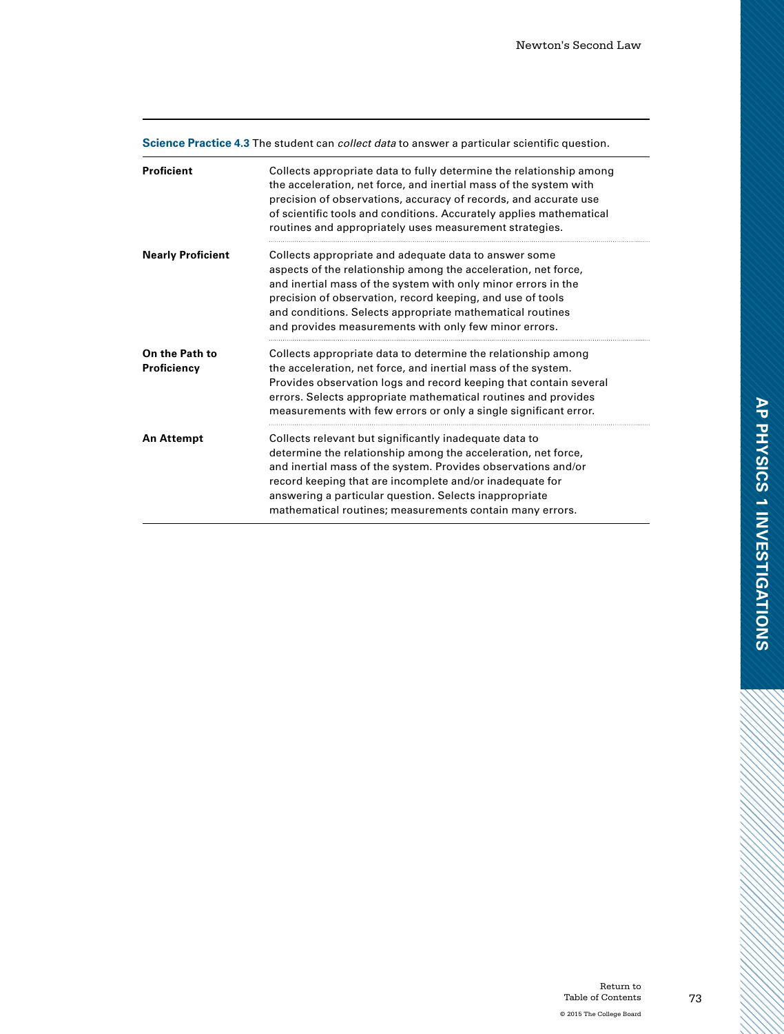| <b>Science Practice 4.3</b> The student can <i>collect data</i> to answer a particular scientific question. |                                                                                                                                                                                                                                                                                                                                                                              |
|-------------------------------------------------------------------------------------------------------------|------------------------------------------------------------------------------------------------------------------------------------------------------------------------------------------------------------------------------------------------------------------------------------------------------------------------------------------------------------------------------|
| <b>Proficient</b>                                                                                           | Collects appropriate data to fully determine the relationship among<br>the acceleration, net force, and inertial mass of the system with<br>precision of observations, accuracy of records, and accurate use<br>of scientific tools and conditions. Accurately applies mathematical<br>routines and appropriately uses measurement strategies.                               |
| <b>Nearly Proficient</b>                                                                                    | Collects appropriate and adequate data to answer some<br>aspects of the relationship among the acceleration, net force,<br>and inertial mass of the system with only minor errors in the<br>precision of observation, record keeping, and use of tools<br>and conditions. Selects appropriate mathematical routines<br>and provides measurements with only few minor errors. |
| On the Path to<br>Proficiency                                                                               | Collects appropriate data to determine the relationship among<br>the acceleration, net force, and inertial mass of the system.<br>Provides observation logs and record keeping that contain several<br>errors. Selects appropriate mathematical routines and provides<br>measurements with few errors or only a single significant error.                                    |
| <b>An Attempt</b>                                                                                           | Collects relevant but significantly inadequate data to<br>determine the relationship among the acceleration, net force,<br>and inertial mass of the system. Provides observations and/or<br>record keeping that are incomplete and/or inadequate for<br>answering a particular question. Selects inappropriate<br>mathematical routines; measurements contain many errors.   |

**Science Practice 4.3** The student can *collect data* to answer a particular scientific question.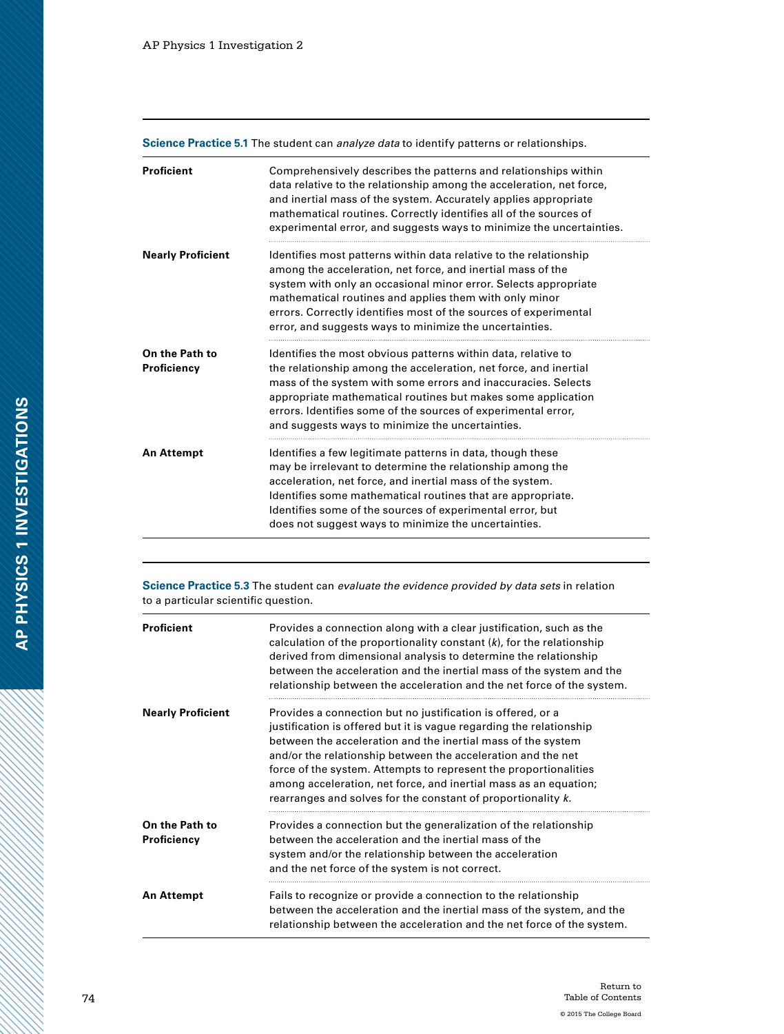| <b>Proficient</b>             | Comprehensively describes the patterns and relationships within<br>data relative to the relationship among the acceleration, net force,<br>and inertial mass of the system. Accurately applies appropriate<br>mathematical routines. Correctly identifies all of the sources of<br>experimental error, and suggests ways to minimize the uncertainties.                                      |
|-------------------------------|----------------------------------------------------------------------------------------------------------------------------------------------------------------------------------------------------------------------------------------------------------------------------------------------------------------------------------------------------------------------------------------------|
| <b>Nearly Proficient</b>      | Identifies most patterns within data relative to the relationship<br>among the acceleration, net force, and inertial mass of the<br>system with only an occasional minor error. Selects appropriate<br>mathematical routines and applies them with only minor<br>errors. Correctly identifies most of the sources of experimental<br>error, and suggests ways to minimize the uncertainties. |
| On the Path to<br>Proficiency | Identifies the most obvious patterns within data, relative to<br>the relationship among the acceleration, net force, and inertial<br>mass of the system with some errors and inaccuracies. Selects<br>appropriate mathematical routines but makes some application<br>errors. Identifies some of the sources of experimental error,<br>and suggests ways to minimize the uncertainties.      |
| <b>An Attempt</b>             | Identifies a few legitimate patterns in data, though these<br>may be irrelevant to determine the relationship among the<br>acceleration, net force, and inertial mass of the system.<br>Identifies some mathematical routines that are appropriate.<br>Identifies some of the sources of experimental error, but<br>does not suggest ways to minimize the uncertainties.                     |

**Science Practice 5.1** The student can *analyze data* to identify patterns or relationships.

**Science Practice 5.3** The student can *evaluate the evidence provided by data sets* in relation to a particular scientific question.

| <b>Proficient</b>             | Provides a connection along with a clear justification, such as the<br>calculation of the proportionality constant $(k)$ , for the relationship<br>derived from dimensional analysis to determine the relationship<br>between the acceleration and the inertial mass of the system and the<br>relationship between the acceleration and the net force of the system.                                                                                                       |
|-------------------------------|----------------------------------------------------------------------------------------------------------------------------------------------------------------------------------------------------------------------------------------------------------------------------------------------------------------------------------------------------------------------------------------------------------------------------------------------------------------------------|
| <b>Nearly Proficient</b>      | Provides a connection but no justification is offered, or a<br>justification is offered but it is vague regarding the relationship<br>between the acceleration and the inertial mass of the system<br>and/or the relationship between the acceleration and the net<br>force of the system. Attempts to represent the proportionalities<br>among acceleration, net force, and inertial mass as an equation;<br>rearranges and solves for the constant of proportionality k. |
| On the Path to<br>Proficiency | Provides a connection but the generalization of the relationship<br>between the acceleration and the inertial mass of the<br>system and/or the relationship between the acceleration<br>and the net force of the system is not correct.                                                                                                                                                                                                                                    |
| <b>An Attempt</b>             | Fails to recognize or provide a connection to the relationship<br>between the acceleration and the inertial mass of the system, and the<br>relationship between the acceleration and the net force of the system.                                                                                                                                                                                                                                                          |

1999 (1999) 1999 (1999) 1999 (1999) 1999 (1999) 1999 (1999) 1999 (1999) 1999 (1999) 1999 (1999) 1999 (1999) 19